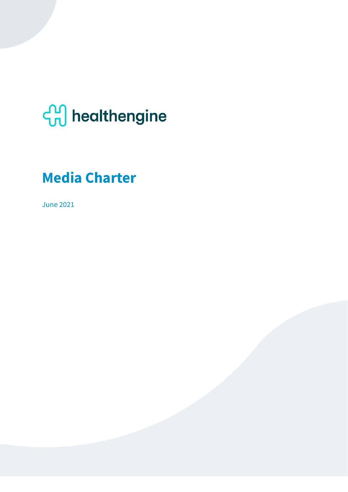# **com** healthengine

# **Media Charter**

June 2021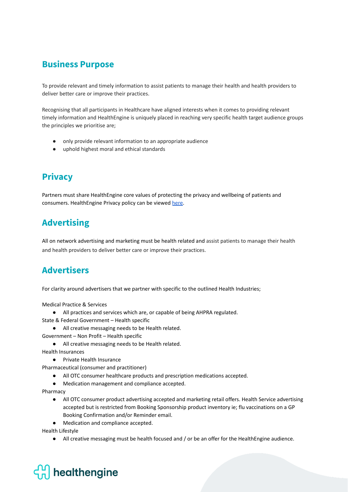#### **Business Purpose**

To provide relevant and timely information to assist patients to manage their health and health providers to deliver better care or improve their practices.

Recognising that all participants in Healthcare have aligned interests when it comes to providing relevant timely information and HealthEngine is uniquely placed in reaching very specific health target audience groups the principles we prioritise are;

- only provide relevant information to an appropriate audience
- uphold highest moral and ethical standards

### **Privacy**

Partners must share HealthEngine core values of protecting the privacy and wellbeing of patients and consumers. HealthEngine Privacy policy can be viewed [here](https://practices.healthengine.com.au/privacy-policy/).

## **Advertising**

All on network advertising and marketing must be health related and assist patients to manage their health and health providers to deliver better care or improve their practices.

### **Advertisers**

For clarity around advertisers that we partner with specific to the outlined Health Industries;

Medical Practice & Services

- All practices and services which are, or capable of being AHPRA regulated.
- State & Federal Government Health specific
	- All creative messaging needs to be Health related.
- Government Non Profit Health specific
	- All creative messaging needs to be Health related.

Health Insurances

- Private Health Insurance
- Pharmaceutical (consumer and practitioner)
	- All OTC consumer healthcare products and prescription medications accepted.
	- Medication management and compliance accepted.

Pharmacy

- All OTC consumer product advertising accepted and marketing retail offers. Health Service advertising accepted but is restricted from Booking Sponsorship product inventory ie; flu vaccinations on a GP Booking Confirmation and/or Reminder email.
- Medication and compliance accepted.

Health Lifestyle

● All creative messaging must be health focused and / or be an offer for the HealthEngine audience.

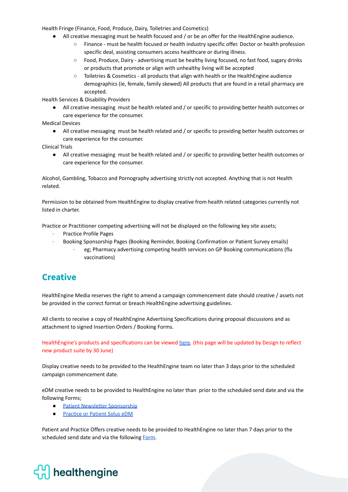Health Fringe (Finance, Food, Produce, Dairy, Toiletries and Cosmetics)

- All creative messaging must be health focused and / or be an offer for the HealthEngine audience.
	- Finance must be health focused or health industry specific offer. Doctor or health profession specific deal, assisting consumers access healthcare or during illness.
	- Food, Produce, Dairy advertising must be healthy living focused, no fast food, sugary drinks or products that promote or align with unhealthy living will be accepted
	- Toiletries & Cosmetics all products that align with health or the HealthEngine audience demographics (ie, female, family skewed) All products that are found in a retail pharmacy are accepted.

Health Services & Disability Providers

● All creative messaging must be health related and / or specific to providing better health outcomes or care experience for the consumer.

Medical Devices

● All creative messaging must be health related and / or specific to providing better health outcomes or care experience for the consumer.

Clinical Trials

● All creative messaging must be health related and / or specific to providing better health outcomes or care experience for the consumer.

Alcohol, Gambling, Tobacco and Pornography advertising strictly not accepted. Anything that is not Health related.

Permission to be obtained from HealthEngine to display creative from health related categories currently not listed in charter.

Practice or Practitioner competing advertising will not be displayed on the following key site assets;

- · Practice Profile Pages
	- · Booking Sponsorship Pages (Booking Reminder, Booking Confirmation or Patient Survey emails)
		- eg; Pharmacy advertising competing health services on GP Booking communications (flu vaccinations)

### **Creative**

HealthEngine Media reserves the right to amend a campaign commencement date should creative / assets not be provided in the correct format or breach HealthEngine advertising guidelines.

All clients to receive a copy of HealthEngine Advertising Specifications during proposal discussions and as attachment to signed Insertion Orders / Booking Forms.

HealthEngine's products and specifications can be viewed [here.](https://partnerservices.healthengine.com.au/) (this page will be updated by Design to reflect new product suite by 30 June)

Display creative needs to be provided to the HealthEngine team no later than 3 days prior to the scheduled campaign commencement date.

eDM creative needs to be provided to HealthEngine no later than prior to the scheduled send date and via the following Forms;

- Patient Newsletter [Sponsorship](https://docs.google.com/forms/d/e/1FAIpQLSftrHOjcF4bMa4uK1ioADt4m0ae5R_HOQ2rreb08TnWKEzpAw/viewform?gxids=7628)
- [Practice](https://docs.google.com/forms/d/1GQDMebUMiW1iCiicG05bFKnSY93DYBGtE33a4tH7Hfw/edit) or Patient Solus eDM

Patient and Practice Offers creative needs to be provided to HealthEngine no later than 7 days prior to the scheduled send date and via the following [Form.](https://docs.google.com/forms/d/e/1FAIpQLSe_EegCsmpQqCWmT6-TuUBuCymYIOGPYKSBVb_teE8LUO8B-A/viewform?gxids=7628)